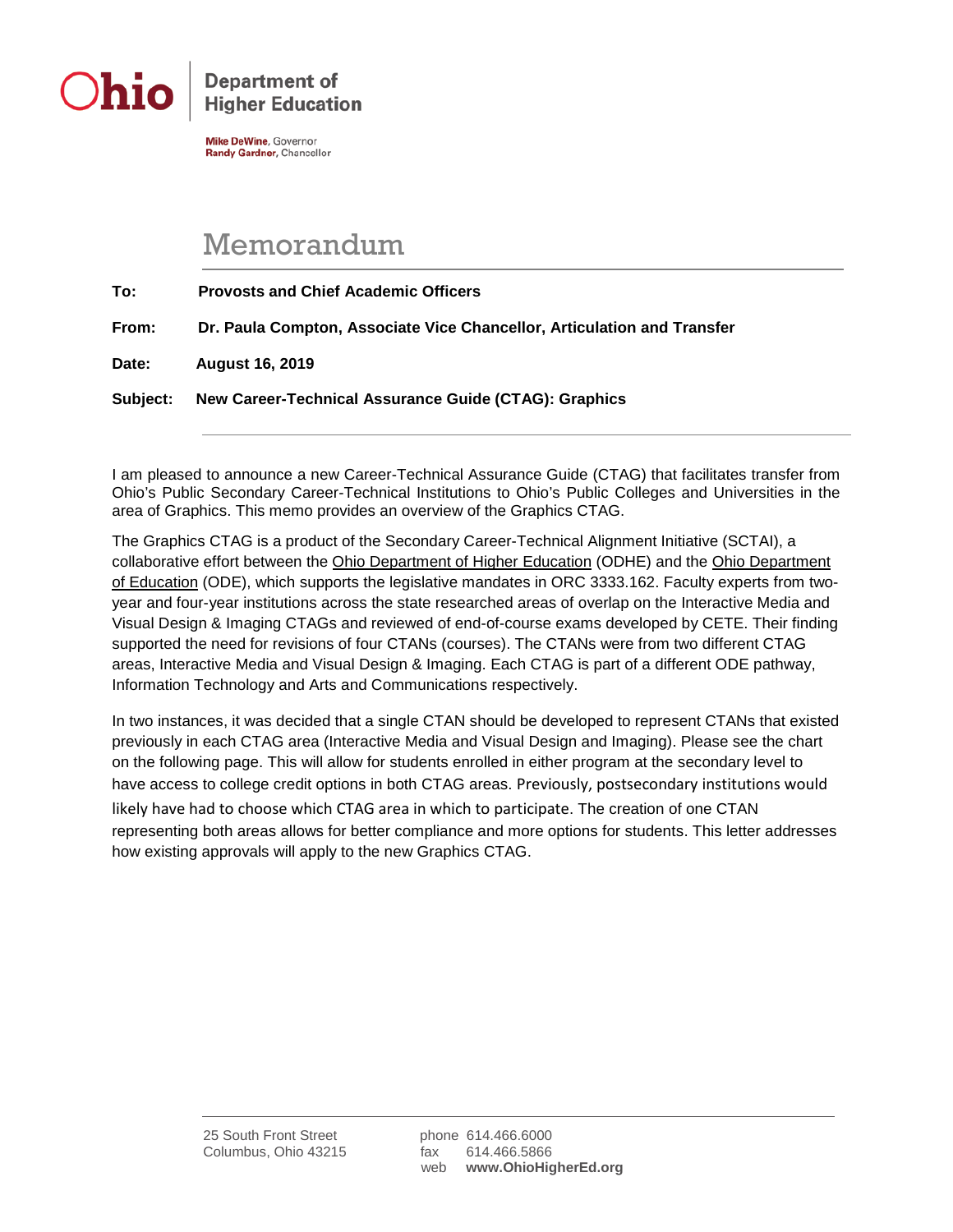

**Department of Higher Education** 

**Mike DeWine**, Governor Randy Gardner, Chancellor

## Memorandum

| To:      | <b>Provosts and Chief Academic Officers</b>                             |
|----------|-------------------------------------------------------------------------|
| From:    | Dr. Paula Compton, Associate Vice Chancellor, Articulation and Transfer |
| Date:    | <b>August 16, 2019</b>                                                  |
| Subject: | New Career-Technical Assurance Guide (CTAG): Graphics                   |

I am pleased to announce a new Career-Technical Assurance Guide (CTAG) that facilitates transfer from Ohio's Public Secondary Career-Technical Institutions to Ohio's Public Colleges and Universities in the area of Graphics. This memo provides an overview of the Graphics CTAG.

The Graphics CTAG is a product of the Secondary Career-Technical Alignment Initiative (SCTAI), a collaborative effort between the Ohio Department of Higher Education (ODHE) and the Ohio Department of Education (ODE), which supports the legislative mandates in ORC 3333.162. Faculty experts from twoyear and four-year institutions across the state researched areas of overlap on the Interactive Media and Visual Design & Imaging CTAGs and reviewed of end-of-course exams developed by CETE. Their finding supported the need for revisions of four CTANs (courses). The CTANs were from two different CTAG areas, Interactive Media and Visual Design & Imaging. Each CTAG is part of a different ODE pathway, Information Technology and Arts and Communications respectively.

In two instances, it was decided that a single CTAN should be developed to represent CTANs that existed previously in each CTAG area (Interactive Media and Visual Design and Imaging). Please see the chart on the following page. This will allow for students enrolled in either program at the secondary level to have access to college credit options in both CTAG areas. Previously, postsecondary institutions would likely have had to choose which CTAG area in which to participate. The creation of one CTAN representing both areas allows for better compliance and more options for students. This letter addresses how existing approvals will apply to the new Graphics CTAG.